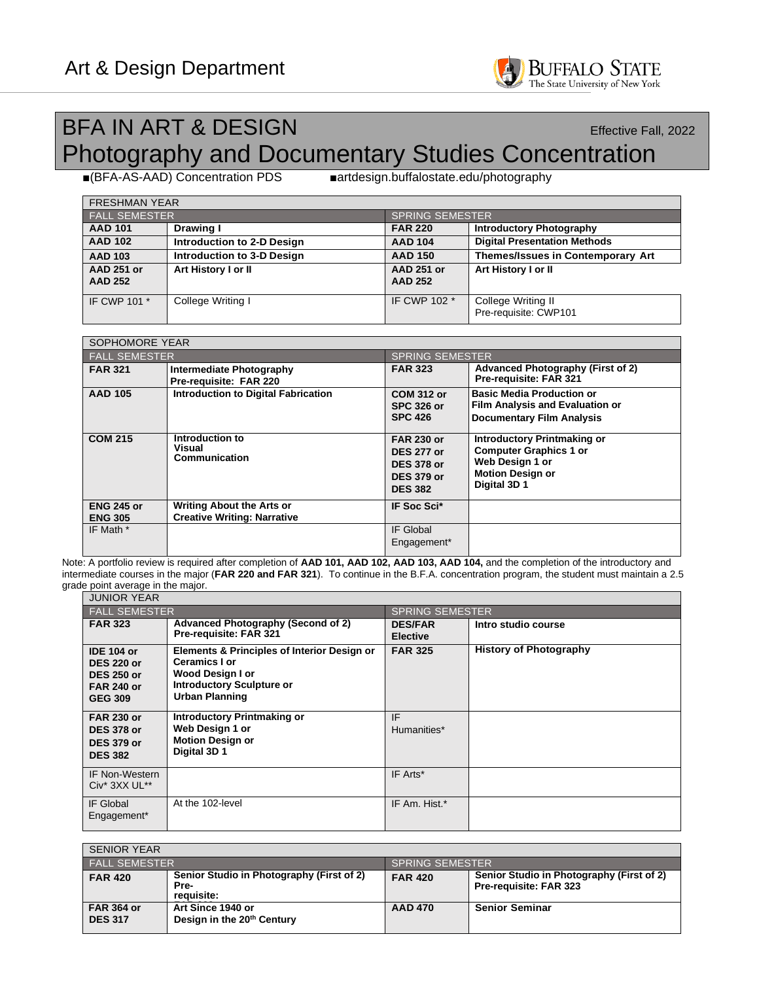

## BFA IN ART & DESIGN Effective Fall, 2022 Photography and Documentary Studies Concentration

■(BFA-AS-AAD) Concentration PDS ■artdesign.buffalostate.edu/photography

| <b>FRESHMAN YEAR</b>                |                                   |                                     |                                             |
|-------------------------------------|-----------------------------------|-------------------------------------|---------------------------------------------|
| <b>FALL SEMESTER</b>                |                                   | <b>SPRING SEMESTER</b>              |                                             |
| <b>AAD 101</b>                      | Drawing I                         | <b>FAR 220</b>                      | <b>Introductory Photography</b>             |
| <b>AAD 102</b>                      | Introduction to 2-D Design        | <b>AAD 104</b>                      | <b>Digital Presentation Methods</b>         |
| <b>AAD 103</b>                      | <b>Introduction to 3-D Design</b> | <b>AAD 150</b>                      | <b>Themes/Issues in Contemporary Art</b>    |
| <b>AAD 251 or</b><br><b>AAD 252</b> | Art History I or II               | <b>AAD 251 or</b><br><b>AAD 252</b> | Art History I or II                         |
| IF CWP 101 *                        | College Writing I                 | IF CWP 102 *                        | College Writing II<br>Pre-requisite: CWP101 |

| <b>SOPHOMORE YEAR</b>               |                                                                        |                                                                                                    |                                                                                                                                   |  |
|-------------------------------------|------------------------------------------------------------------------|----------------------------------------------------------------------------------------------------|-----------------------------------------------------------------------------------------------------------------------------------|--|
| <b>FALL SEMESTER</b>                |                                                                        |                                                                                                    | <b>SPRING SEMESTER</b>                                                                                                            |  |
| <b>FAR 321</b>                      | <b>Intermediate Photography</b><br>Pre-requisite: FAR 220              | <b>FAR 323</b>                                                                                     | Advanced Photography (First of 2)<br>Pre-requisite: FAR 321                                                                       |  |
| <b>AAD 105</b>                      | <b>Introduction to Digital Fabrication</b>                             | <b>COM 312 or</b><br><b>SPC 326 or</b><br><b>SPC 426</b>                                           | <b>Basic Media Production or</b><br><b>Film Analysis and Evaluation or</b><br><b>Documentary Film Analysis</b>                    |  |
| <b>COM 215</b>                      | Introduction to<br>Visual<br>Communication                             | <b>FAR 230 or</b><br><b>DES 277 or</b><br><b>DES 378 or</b><br><b>DES 379 or</b><br><b>DES 382</b> | <b>Introductory Printmaking or</b><br><b>Computer Graphics 1 or</b><br>Web Design 1 or<br><b>Motion Design or</b><br>Digital 3D 1 |  |
| <b>ENG 245 or</b><br><b>ENG 305</b> | <b>Writing About the Arts or</b><br><b>Creative Writing: Narrative</b> | IF Soc Sci*                                                                                        |                                                                                                                                   |  |
| IF Math *                           |                                                                        | IF Global<br>Engagement*                                                                           |                                                                                                                                   |  |

Note: A portfolio review is required after completion of **AAD 101, AAD 102, AAD 103, AAD 104,** and the completion of the introductory and intermediate courses in the major (**FAR 220 and FAR 321**). To continue in the B.F.A. concentration program, the student must maintain a 2.5 grade point average in the major.

| <b>JUNIOR YEAR</b>                                                                                 |                                                                                                                                               |                                   |                               |
|----------------------------------------------------------------------------------------------------|-----------------------------------------------------------------------------------------------------------------------------------------------|-----------------------------------|-------------------------------|
| <b>FALL SEMESTER</b>                                                                               |                                                                                                                                               | <b>SPRING SEMESTER</b>            |                               |
| <b>FAR 323</b>                                                                                     | <b>Advanced Photography (Second of 2)</b><br>Pre-requisite: FAR 321                                                                           | <b>DES/FAR</b><br><b>Elective</b> | Intro studio course           |
| <b>IDE 104 or</b><br><b>DES 220 or</b><br><b>DES 250 or</b><br><b>FAR 240 or</b><br><b>GEG 309</b> | Elements & Principles of Interior Design or<br>Ceramics I or<br>Wood Design I or<br><b>Introductory Sculpture or</b><br><b>Urban Planning</b> | <b>FAR 325</b>                    | <b>History of Photography</b> |
| <b>FAR 230 or</b><br><b>DES 378 or</b><br><b>DES 379 or</b><br><b>DES 382</b>                      | <b>Introductory Printmaking or</b><br>Web Design 1 or<br><b>Motion Design or</b><br>Digital 3D 1                                              | IF<br>Humanities*                 |                               |
| <b>IF Non-Western</b><br>Civ* 3XX UL**                                                             |                                                                                                                                               | IF Arts*                          |                               |
| <b>IF Global</b><br>Engagement*                                                                    | At the 102-level                                                                                                                              | IF Am. Hist.*                     |                               |

| <b>SENIOR YEAR</b>                  |                                                                 |                        |                                                                     |
|-------------------------------------|-----------------------------------------------------------------|------------------------|---------------------------------------------------------------------|
| FALL SEMESTER'                      |                                                                 | <b>SPRING SEMESTER</b> |                                                                     |
| <b>FAR 420</b>                      | Senior Studio in Photography (First of 2)<br>Pre-<br>requisite: | <b>FAR 420</b>         | Senior Studio in Photography (First of 2)<br>Pre-requisite: FAR 323 |
| <b>FAR 364 or</b><br><b>DES 317</b> | Art Since 1940 or<br>Design in the 20 <sup>th</sup> Century     | <b>AAD 470</b>         | <b>Senior Seminar</b>                                               |